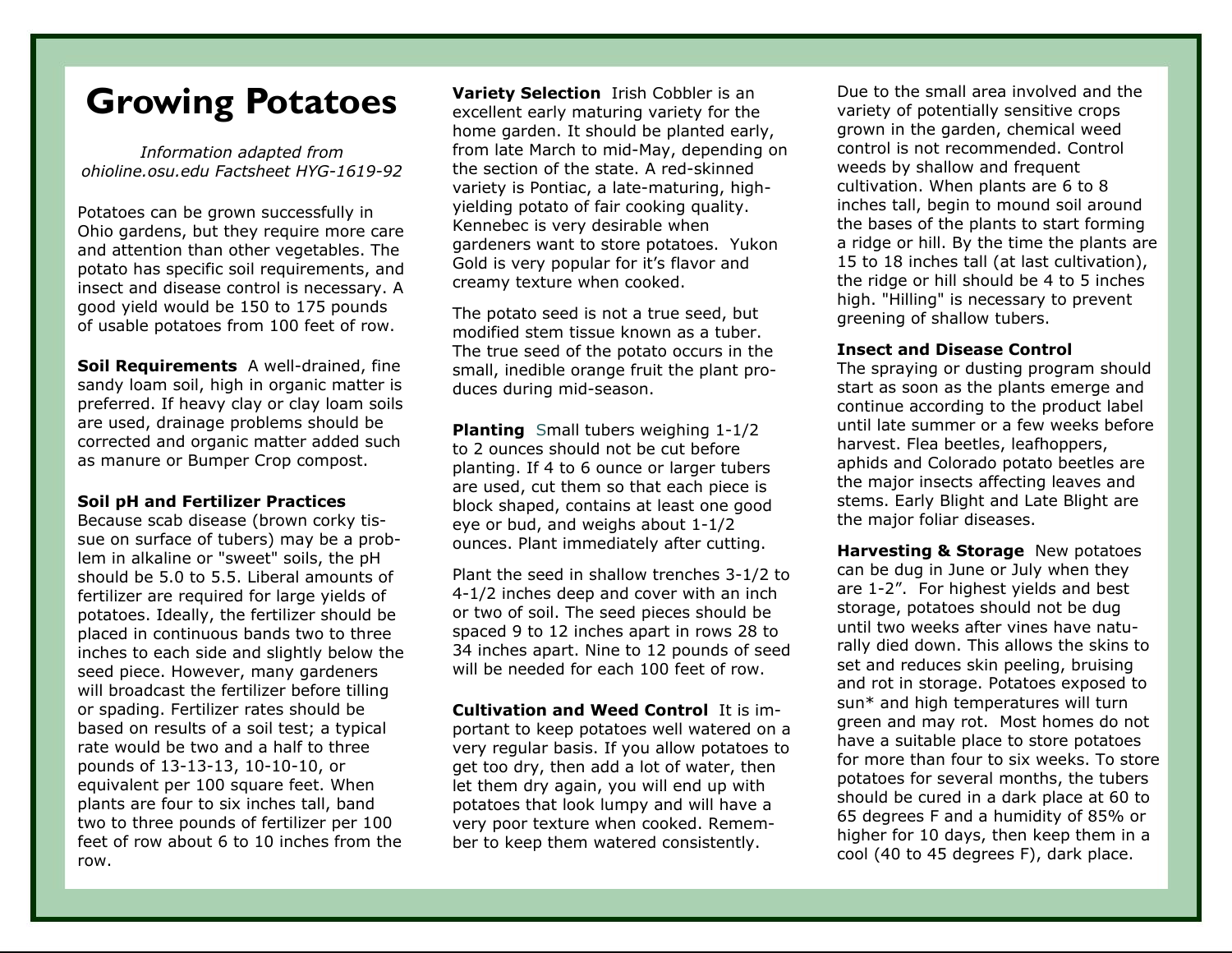## **Growing Potatoes**

*Information adapted from ohioline.osu.edu Factsheet HYG-1619-92* 

Potatoes can be grown successfully in Ohio gardens, but they require more care and attention than other vegetables. The potato has specific soil requirements, and insect and disease control is necessary. A good yield would be 150 to 175 pounds of usable potatoes from 100 feet of row.

**Soil Requirements** A well-drained, fine sandy loam soil, high in organic matter is preferred. If heavy clay or clay loam soils are used, drainage problems should be corrected and organic matter added such as manure or Bumper Crop compost.

## **Soil pH and Fertilizer Practices**

Because scab disease (brown corky tissue on surface of tubers) may be a problem in alkaline or "sweet" soils, the pH should be 5.0 to 5.5. Liberal amounts of fertilizer are required for large yields of potatoes. Ideally, the fertilizer should be placed in continuous bands two to three inches to each side and slightly below the seed piece. However, many gardeners will broadcast the fertilizer before tilling or spading. Fertilizer rates should be based on results of a soil test; a typical rate would be two and a half to three pounds of 13-13-13, 10-10-10, or equivalent per 100 square feet. When plants are four to six inches tall, band two to three pounds of fertilizer per 100 feet of row about 6 to 10 inches from the row.

**Variety Selection** Irish Cobbler is an excellent early maturing variety for the home garden. It should be planted early, from late March to mid-May, depending on the section of the state. A red-skinned variety is Pontiac, a late-maturing, highyielding potato of fair cooking quality. Kennebec is very desirable when gardeners want to store potatoes. Yukon Gold is very popular for it's flavor and creamy texture when cooked.

The potato seed is not a true seed, but modified stem tissue known as a tuber. The true seed of the potato occurs in the small, inedible orange fruit the plant produces during mid-season.

**Planting** Small tubers weighing 1-1/2 to 2 ounces should not be cut before planting. If 4 to 6 ounce or larger tubers are used, cut them so that each piece is block shaped, contains at least one good eye or bud, and weighs about 1-1/2 ounces. Plant immediately after cutting.

Plant the seed in shallow trenches 3-1/2 to 4-1/2 inches deep and cover with an inch or two of soil. The seed pieces should be spaced 9 to 12 inches apart in rows 28 to 34 inches apart. Nine to 12 pounds of seed will be needed for each 100 feet of row.

**Cultivation and Weed Control** It is important to keep potatoes well watered on a very regular basis. If you allow potatoes to get too dry, then add a lot of water, then let them dry again, you will end up with potatoes that look lumpy and will have a very poor texture when cooked. Remember to keep them watered consistently.

Due to the small area involved and the variety of potentially sensitive crops grown in the garden, chemical weed control is not recommended. Control weeds by shallow and frequent cultivation. When plants are 6 to 8 inches tall, begin to mound soil around the bases of the plants to start forming a ridge or hill. By the time the plants are 15 to 18 inches tall (at last cultivation), the ridge or hill should be 4 to 5 inches high. "Hilling" is necessary to prevent greening of shallow tubers.

## **Insect and Disease Control**

The spraying or dusting program should start as soon as the plants emerge and continue according to the product label until late summer or a few weeks before harvest. Flea beetles, leafhoppers, aphids and Colorado potato beetles are the major insects affecting leaves and stems. Early Blight and Late Blight are the major foliar diseases.

**Harvesting & Storage** New potatoes can be dug in June or July when they are 1-2". For highest yields and best storage, potatoes should not be dug until two weeks after vines have naturally died down. This allows the skins to set and reduces skin peeling, bruising and rot in storage. Potatoes exposed to sun\* and high temperatures will turn green and may rot. Most homes do not have a suitable place to store potatoes for more than four to six weeks. To store potatoes for several months, the tubers should be cured in a dark place at 60 to 65 degrees F and a humidity of 85% or higher for 10 days, then keep them in a cool (40 to 45 degrees F), dark place.